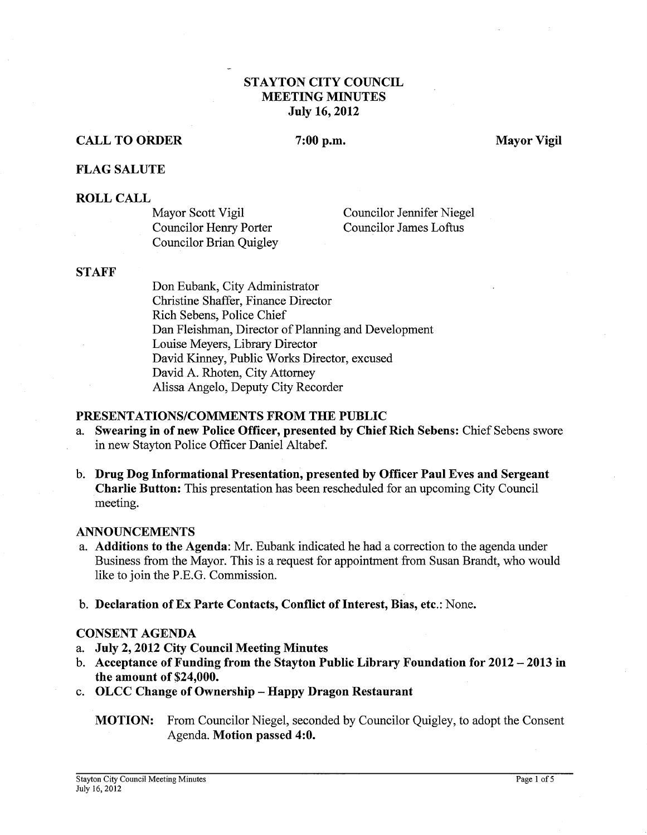## STAYTON CITY COUNCIL MEETING MINUTES July 16,2012

## CALL TO ORDER

### 7:00 p.m.

Mayor Vigil

### FLAG SALUTE

#### ROLL CALL

Mayor Scott Vigil Councilor Henry Porter Councilor Brian Quigley

-

Councilor Jennifer Niegel Councilor James Loftus

#### **STAFF**

Don Eubank, City Administrator Christine Shaffer, Finance Director Rich Sebens, Police Chief Dan Fleishman, Director of Planning and Development Louise Meyers, Library Director David Kinney, Public Works Director, excused David A. Rhoten, City Attorney Alissa Angelo, Deputy City Recorder

#### PRESENTATIONSICOMMENTS FROM THE PUBLIC

- a. Swearing in of new Police Officer, presented by Chief Rich Sebens: Chief Sebens swore in new Stayton Police Officer Daniel Altabef.
- b. Drug Dog Informational Presentation, presented by Officer Paul Eves and Sergeant Charlie Button: This presentation has been rescheduled for an upcoming City Council meeting.

#### ANNOUNCEMENTS

- a. Additions to the Agenda: Mr. Eubank indicated he had a correction to the agenda under Business from the Mayor. This is a request for appointment from Susan Brandt, who would like to join the P.E.G. Commission.
- b. Declaration of Ex Parte Contacts, Conflict of Interest, Bias, etc.: None.

## CONSENT AGENDA

- a. July 2,2012 City Council Meeting Minutes
- b. Acceptance of Funding from the Stayton Public Library Foundation for 2012 2013 in the amount of \$24,000.
- c. OLCC Change of Ownership Happy Dragon Restaurant
	- MOTION: From Councilor Niegel, seconded by Councilor Quigley, to adopt the Consent Agenda. Motion passed 4:O.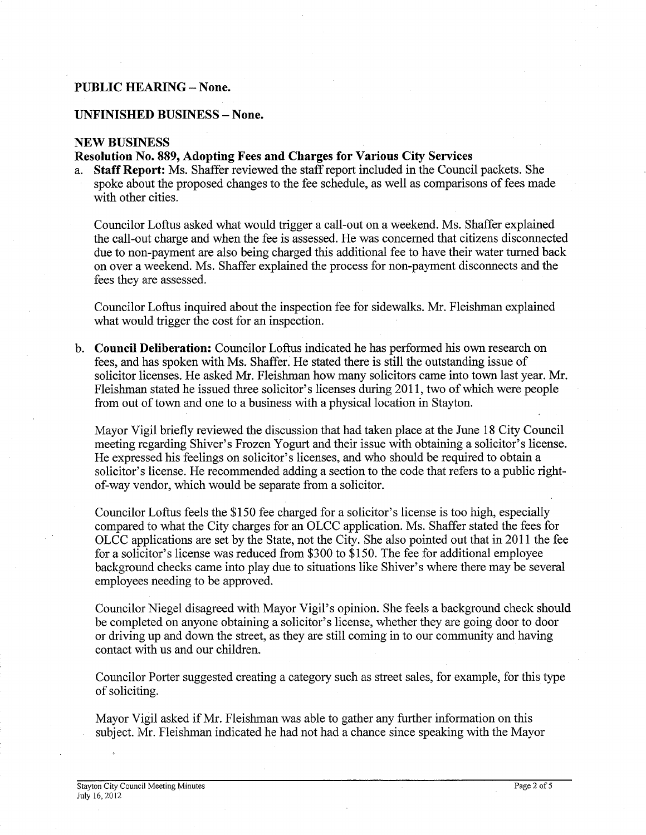### **PUBLIC HEARING** - **None.**

#### **UNFINISHED BUSINESS** - **None.**

#### **NEW BUSINESS**

### **Resolution No. 889, Adopting Fees and Charges for Various City Services**

a. **Staff Report:** Ms. Shaffer reviewed the staff report included in the Council packets. She spoke about the proposed changes to the fee schedule, as well as comparisons of fees made with other cities.

Councilor Loftus asked what would trigger a call-out on a weekend. Ms. Shaffer explained the call-out charge and when the fee is assessed. He was concerned that citizens disconnected due to non-payment are also being charged this additional fee to have their water turned back on over a weekend. Ms. Shaffer explained the process for non-payment disconnects and the fees they are assessed.

Councilor Loftus inquired about the inspection fee for sidewalks. Mr. Fleishman explained what would trigger the cost for an inspection.

b. **Council Deliberation:** Councilor Loftus indicated he has performed his own research on fees, and has spoken with Ms. Shaffer. He stated there is still the outstanding issue of solicitor licenses. He asked Mr. Fleishman how many solicitors came into town last year. Mr. Fleishman stated he issued three solicitor's licenses during 201 1, two of which were people from out of town and one to a business with a physical location in Stayton.

Mayor Vigil briefly reviewed the discussion that had taken place at the June 18 City Council meeting regarding Shiver's Frozen Yogurt and their issue with obtaining a solicitor's license. He expressed his feelings on solicitor's licenses, and who should be required to obtain a solicitor's license. He recommended adding a section to the code that refers to a public rightof-way vendor, which would be separate from a solicitor.

Councilor Loftus feels the \$150 fee charged for a solicitor's license is too high, especially compared to what the City charges for an OLCC application. Ms. Shaffer stated the fees for OLCC applications are set by the State, not the City. She also pointed out that in 2011 the fee for a solicitor's license was reduced fiom \$300 to \$150. The fee for additional employee background checks came into play due to situations like Shiver's where there may be several employees needing to be approved.

Councilor Niegel disagreed with Mayor Vigil's opinion. She feels a background check should be completed on anyone obtaining a solicitor's license, whether they are going door to door or driving up and down the street, as they are still coming in to our community and having contact with us and our children.

Councilor Porter suggested creating a category such as street sales, for example, for this type of soliciting.

Mayor Vigil asked if Mr. Fleishman was able to gather any further information on this subject. Mr. Fleishman indicated he had not had a chance since speaking with the Mayor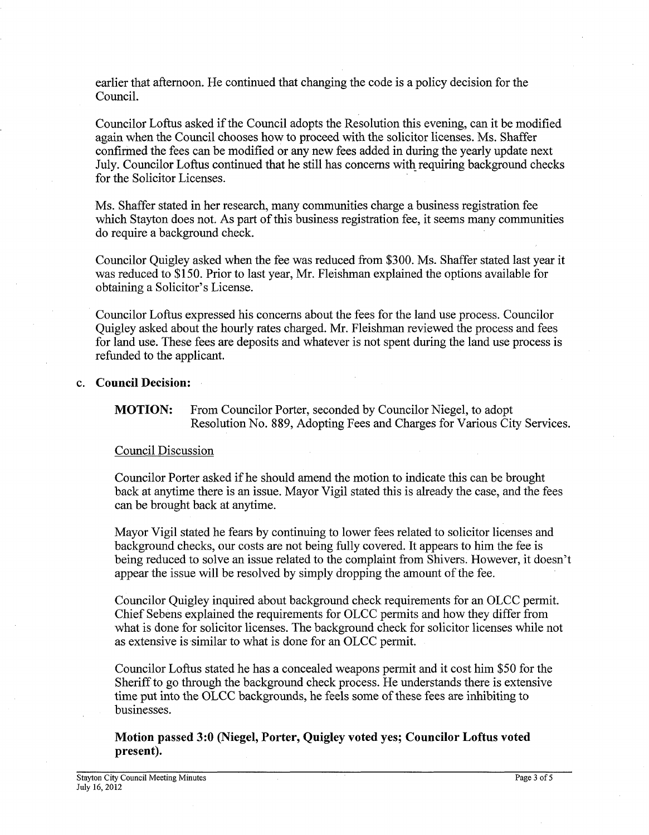earlier that afternoon. He continued that changing the code is a policy decision for the Council.

Councilor Loftus asked if the Council adopts the Resolution this evening, can it be modified again when the Council chooses how to proceed with the solicitor licenses. Ms. Shaffer confirmed the fees can be modified or any new fees added in during the yearly update next July. Councilor Loftus continued that he still has concerns with requiring background checks for the Solicitor Licenses.

Ms. Shaffer stated in her research, many communities charge a business registration fee which Stayton does not. As part of this business registration fee, it seems many communities do require a background check.

Councilor Quigley asked when the fee was reduced from \$300. Ms. Shaffer stated last year it was reduced to \$150. Prior to last year, Mr. Fleishman explained the options available for obtaining a Solicitor's License.

Councilor Loftus expressed his concerns about the fees for the land use process. Councilor Quigley asked about the hourly rates charged. Mr. Fleishman reviewed the process and fees for land use. These fees are deposits and whatever is not spent during the land use process is refunded to the applicant.

### c. **Council Decision:**

**MOTION:** From Councilor Porter, seconded by Councilor Niegel, to adopt Resolution No. 889, Adopting Fees and Charges for Various City Services.

### Council Discussion

Councilor Porter asked if he should amend the motion to indicate this can be brought back at anytime there is an issue. Mayor Vigil stated this is already the case, and the fees can be brought back at anytime.

Mayor Vigil stated he fears by continuing to lower fees related to solicitor licenses and background checks, our costs are not being fully covered. It appears to him the fee is being reduced to solve an issue related to the complaint from Shivers. However, it doesn't appear the issue will be resolved by simply dropping the amount of the fee.

Councilor Quigley inquired about background check requirements for an OLCC permit. Chief Sebens explained the requirements for OLCC permits and how they differ from what is done for solicitor licenses. The background check for solicitor licenses while not as extensive is similar to what is done for an OLCC permit.

Councilor Loftus stated he has a concealed weapons permit and it cost him \$50 for the Sheriff to go through the background check process. He understands there is extensive time put into the OLCC backgrounds, he feels some of these fees are inhibiting to businesses.

**Motion passed** *3:O* **(Niegel, Porter, Quigley voted yes; Councilor Loftus voted present).**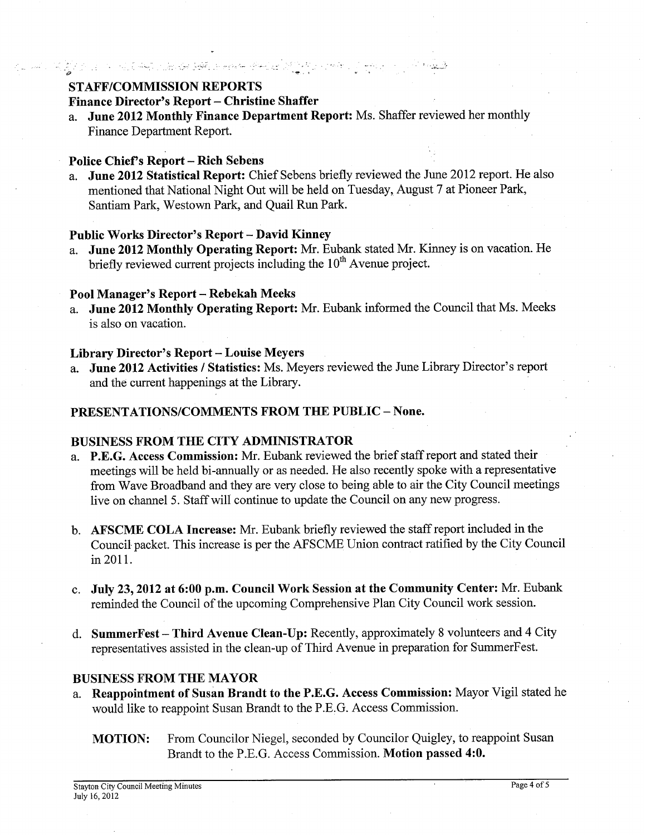# STAFF/COMMISSION REPORTS

## Finance Director's Report - Christine Shaffer

-. --- . . .. . **3** - **w** -

a. June 2012 Monthly Finance Department Report: Ms. Shaffer reviewed her monthly Finance Department Report.

## Police Chief's Report - Rich Sebens

a. June 2012 Statistical Report: Chief Sebens briefly reviewed the June 2012 report. He also mentioned that National Night Out will be held on Tuesday, August 7 at Pioneer Park, Santiam Park, Westown Park, and Quail Run Park.

## Public Works Director's Report - David Kinney

a. June 2012 Monthly Operating Report: Mr. Eubank stated Mr. Kinney is on vacation. He briefly reviewed current projects including the  $10<sup>th</sup>$  Avenue project.

## Pool Manager's Report - Rebekah Meeks

a. June 2012 Monthly Operating Report: Mr. Eubank informed the Council that Ms. Meeks is also on vacation.

## Library Director's Report - Louise Meyers

a. June 2012 Activities / Statistics: Ms. Meyers reviewed the June Library Director's report and the current happenings at the Library.

## PRESENTATIONS/COMMENTS FROM THE PUBLIC - None.

## BUSINESS FROM THE CITY ADMINISTRATOR

- a. P.E.G. Access Commission: Mr. Eubank reviewed the brief staff report and stated their meetings will be held bi-annually or as needed. He also recently spoke with a representative from Wave Broadband and they are very close to being able to air the City Council meetings live on channel 5. Staff will continue to update the Council on any new progress.
- b. AFSCME COLA Increase: Mr. Eubank briefly reviewed the staff report included in the Council packet. This increase is per the AFSCME Union contract ratified by the City Council in 2011.
- c. July 23,2012 at 6:00 p.m. Council Work Session at the Community Center: Mr. Eubank reminded the Council of the upcoming Comprehensive Plan City Council work session.
- d. SummerFest Third Avenue Clean-Up: Recently, approximately 8 volunteers and 4 City representatives assisted in the clean-up of Third Avenue in preparation for SummerFest.

## BUSINESS FROM THE MAYOR

- a. Reappointment of Susan Brandt to the P.E.G. Access Commission: Mayor Vigil stated he would like to reappoint Susan Brandt to the P.E.G. Access Commission.
	- MOTION: From Councilor Niegel, seconded by Councilor Quigley, to reappoint Susan Brandt to the P.E.G. Access Commission. Motion passed 4:O.